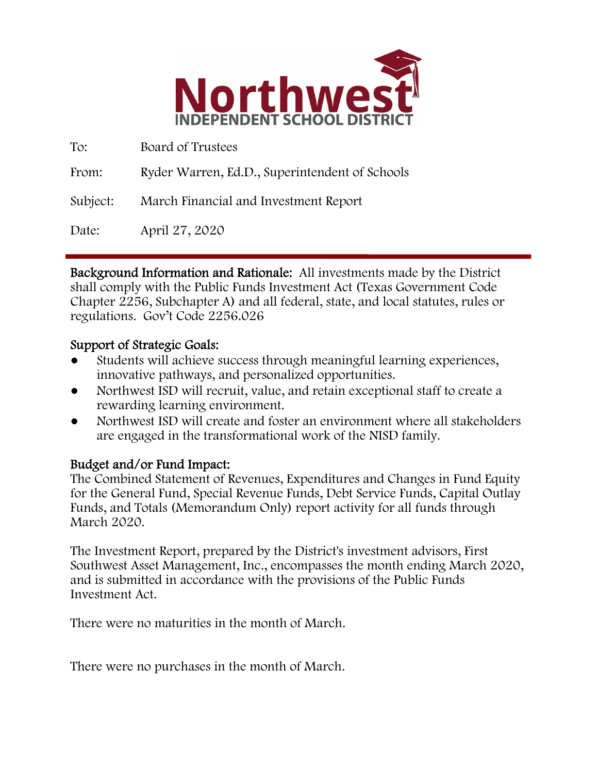

To: Board of Trustees From: Ryder Warren, Ed.D., Superintendent of Schools Subject: March Financial and Investment Report Date: April 27, 2020

Background Information and Rationale: All investments made by the District shall comply with the Public Funds Investment Act (Texas Government Code Chapter 2256, Subchapter A) and all federal, state, and local statutes, rules or regulations. Gov't Code 2256.026

### Support of Strategic Goals:

- Students will achieve success through meaningful learning experiences, innovative pathways, and personalized opportunities.
- Northwest ISD will recruit, value, and retain exceptional staff to create a rewarding learning environment.
- Northwest ISD will create and foster an environment where all stakeholders are engaged in the transformational work of the NISD family.

## Budget and/or Fund Impact:

The Combined Statement of Revenues, Expenditures and Changes in Fund Equity for the General Fund, Special Revenue Funds, Debt Service Funds, Capital Outlay Funds, and Totals (Memorandum Only) report activity for all funds through March 2020.

The Investment Report, prepared by the District's investment advisors, First Southwest Asset Management, Inc., encompasses the month ending March 2020, and is submitted in accordance with the provisions of the Public Funds Investment Act.

There were no maturities in the month of March.

There were no purchases in the month of March.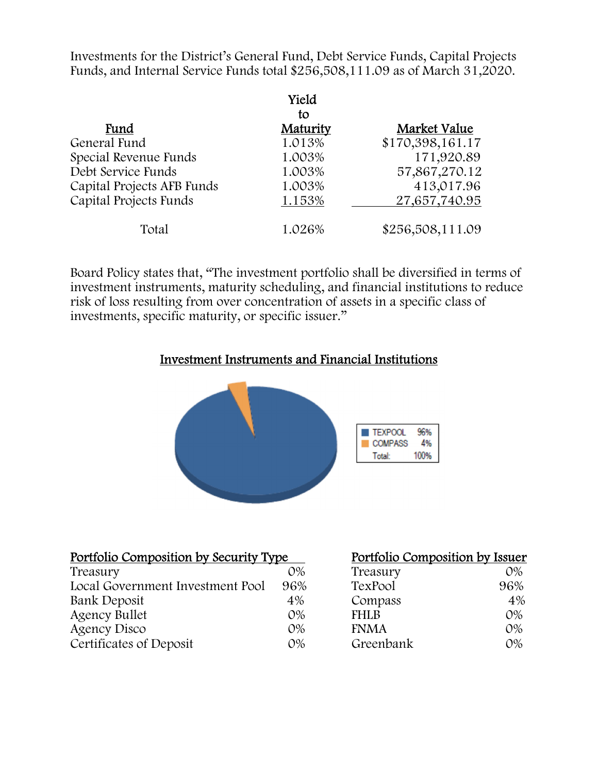Investments for the District's General Fund, Debt Service Funds, Capital Projects Funds, and Internal Service Funds total \$256,508,111.09 as of March 31,2020.

|                            | Yield    |                  |
|----------------------------|----------|------------------|
|                            | tο       |                  |
| Fund                       | Maturity | Market Value     |
| General Fund               | 1.013%   | \$170,398,161.17 |
| Special Revenue Funds      | 1.003%   | 171,920.89       |
| Debt Service Funds         | 1.003%   | 57,867,270.12    |
| Capital Projects AFB Funds | 1.003%   | 413,017.96       |
| Capital Projects Funds     | 1.153%   | 27,657,740.95    |
| Total                      | 1.026%   | \$256,508,111.09 |

Board Policy states that, "The investment portfolio shall be diversified in terms of investment instruments, maturity scheduling, and financial institutions to reduce risk of loss resulting from over concentration of assets in a specific class of investments, specific maturity, or specific issuer."

#### Investment Instruments and Financial Institutions



| <u>Portfolio Composition by Security Type</u> |       | Portfolio Composition by Issuer |       |
|-----------------------------------------------|-------|---------------------------------|-------|
| Treasury                                      | $O\%$ | Treasury                        | $O\%$ |
| Local Government Investment Pool              | 96%   | TexPool                         | 96%   |
| Bank Deposit                                  | 4%    | Compass                         | 4%    |
| <b>Agency Bullet</b>                          | $O\%$ | <b>FHLB</b>                     | $O\%$ |
| Agency Disco                                  | $O\%$ | <b>FNMA</b>                     | $O\%$ |
| Certificates of Deposit                       | $O\%$ | Greenbank                       | $O\%$ |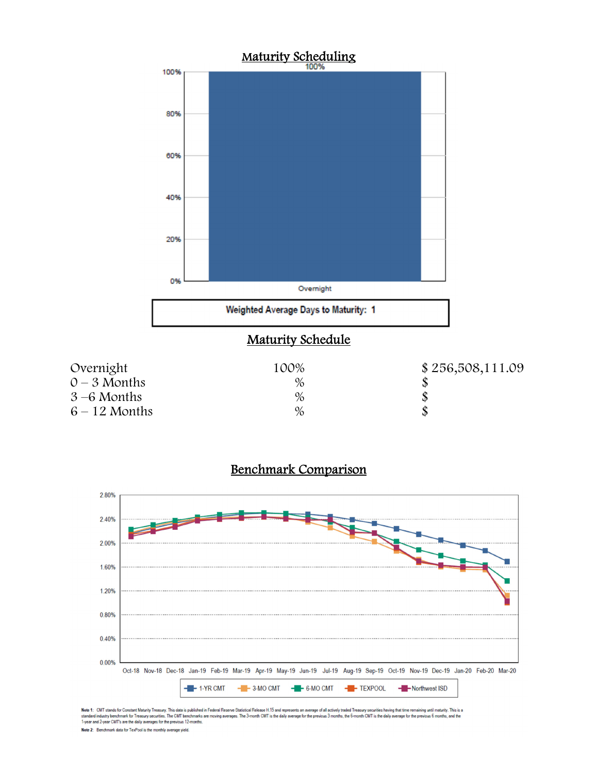



#### Benchmark Comparison

Note 1: CMT stands for Constant Maturity Treasury. This data is published in Federal Resene Statistical Release H.15 and represents an average of all actively traded Treasury securities having that time remaining until mat Note 2: Benchmark data for TexPool is the monthly average yield.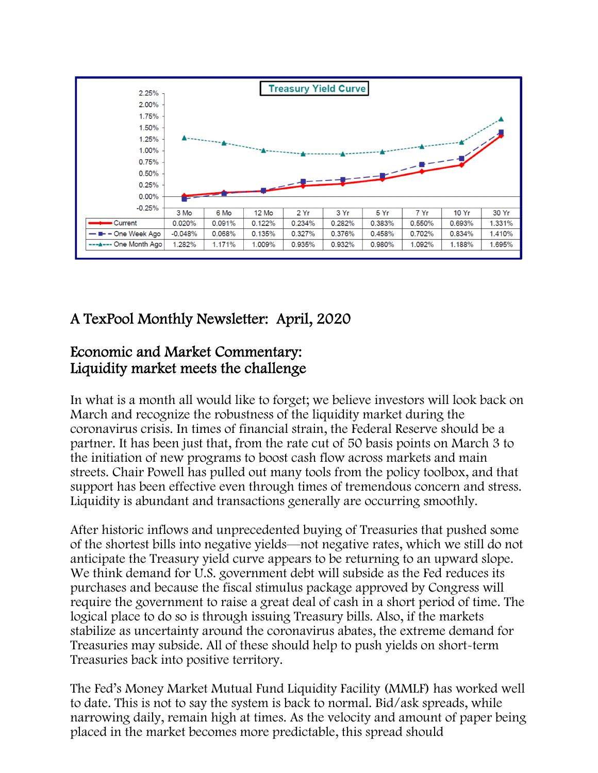

# A TexPool Monthly Newsletter: April, 2020

## Economic and Market Commentary: Liquidity market meets the challenge

In what is a month all would like to forget; we believe investors will look back on March and recognize the robustness of the liquidity market during the coronavirus crisis. In times of financial strain, the Federal Reserve should be a partner. It has been just that, from the rate cut of 50 basis points on March 3 to the initiation of new programs to boost cash flow across markets and main streets. Chair Powell has pulled out many tools from the policy toolbox, and that support has been effective even through times of tremendous concern and stress. Liquidity is abundant and transactions generally are occurring smoothly.

After historic inflows and unprecedented buying of Treasuries that pushed some of the shortest bills into negative yields—not negative rates, which we still do not anticipate the Treasury yield curve appears to be returning to an upward slope. We think demand for U.S. government debt will subside as the Fed reduces its purchases and because the fiscal stimulus package approved by Congress will require the government to raise a great deal of cash in a short period of time. The logical place to do so is through issuing Treasury bills. Also, if the markets stabilize as uncertainty around the coronavirus abates, the extreme demand for Treasuries may subside. All of these should help to push yields on short-term Treasuries back into positive territory.

The Fed's Money Market Mutual Fund Liquidity Facility (MMLF) has worked well to date. This is not to say the system is back to normal. Bid/ask spreads, while narrowing daily, remain high at times. As the velocity and amount of paper being placed in the market becomes more predictable, this spread should